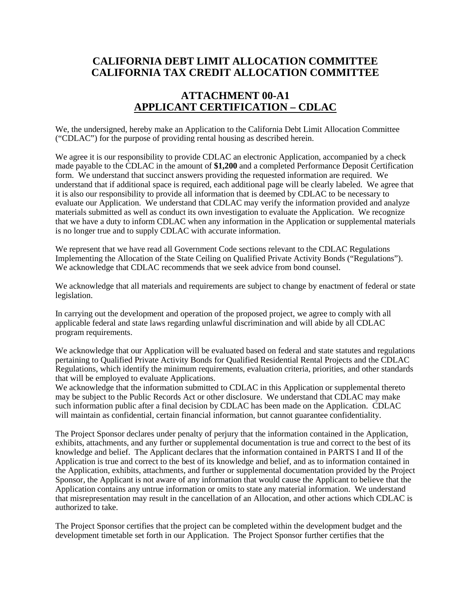## **CALIFORNIA DEBT LIMIT ALLOCATION COMMITTEE CALIFORNIA TAX CREDIT ALLOCATION COMMITTEE**

## **ATTACHMENT 00-A1 APPLICANT CERTIFICATION – CDLAC**

We, the undersigned, hereby make an Application to the California Debt Limit Allocation Committee ("CDLAC") for the purpose of providing rental housing as described herein.

We agree it is our responsibility to provide CDLAC an electronic Application, accompanied by a check made payable to the CDLAC in the amount of **\$1,200** and a completed Performance Deposit Certification form. We understand that succinct answers providing the requested information are required. We understand that if additional space is required, each additional page will be clearly labeled. We agree that it is also our responsibility to provide all information that is deemed by CDLAC to be necessary to evaluate our Application. We understand that CDLAC may verify the information provided and analyze materials submitted as well as conduct its own investigation to evaluate the Application. We recognize that we have a duty to inform CDLAC when any information in the Application or supplemental materials is no longer true and to supply CDLAC with accurate information.

We represent that we have read all Government Code sections relevant to the CDLAC Regulations Implementing the Allocation of the State Ceiling on Qualified Private Activity Bonds ("Regulations"). We acknowledge that CDLAC recommends that we seek advice from bond counsel.

We acknowledge that all materials and requirements are subject to change by enactment of federal or state legislation.

In carrying out the development and operation of the proposed project, we agree to comply with all applicable federal and state laws regarding unlawful discrimination and will abide by all CDLAC program requirements.

We acknowledge that our Application will be evaluated based on federal and state statutes and regulations pertaining to Qualified Private Activity Bonds for Qualified Residential Rental Projects and the CDLAC Regulations, which identify the minimum requirements, evaluation criteria, priorities, and other standards that will be employed to evaluate Applications.

We acknowledge that the information submitted to CDLAC in this Application or supplemental thereto may be subject to the Public Records Act or other disclosure. We understand that CDLAC may make such information public after a final decision by CDLAC has been made on the Application. CDLAC will maintain as confidential, certain financial information, but cannot guarantee confidentiality.

The Project Sponsor declares under penalty of perjury that the information contained in the Application, exhibits, attachments, and any further or supplemental documentation is true and correct to the best of its knowledge and belief. The Applicant declares that the information contained in PARTS I and II of the Application is true and correct to the best of its knowledge and belief, and as to information contained in the Application, exhibits, attachments, and further or supplemental documentation provided by the Project Sponsor, the Applicant is not aware of any information that would cause the Applicant to believe that the Application contains any untrue information or omits to state any material information. We understand that misrepresentation may result in the cancellation of an Allocation, and other actions which CDLAC is authorized to take.

The Project Sponsor certifies that the project can be completed within the development budget and the development timetable set forth in our Application. The Project Sponsor further certifies that the